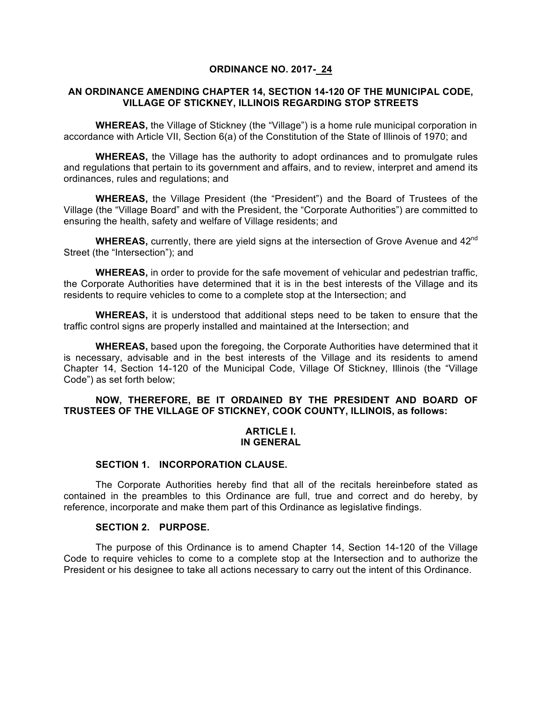#### **ORDINANCE NO. 2017- 24**

### **AN ORDINANCE AMENDING CHAPTER 14, SECTION 14-120 OF THE MUNICIPAL CODE, VILLAGE OF STICKNEY, ILLINOIS REGARDING STOP STREETS**

**WHEREAS,** the Village of Stickney (the "Village") is a home rule municipal corporation in accordance with Article VII, Section 6(a) of the Constitution of the State of Illinois of 1970; and

**WHEREAS,** the Village has the authority to adopt ordinances and to promulgate rules and regulations that pertain to its government and affairs, and to review, interpret and amend its ordinances, rules and regulations; and

**WHEREAS,** the Village President (the "President") and the Board of Trustees of the Village (the "Village Board" and with the President, the "Corporate Authorities") are committed to ensuring the health, safety and welfare of Village residents; and

WHEREAS, currently, there are yield signs at the intersection of Grove Avenue and 42<sup>nd</sup> Street (the "Intersection"); and

**WHEREAS,** in order to provide for the safe movement of vehicular and pedestrian traffic, the Corporate Authorities have determined that it is in the best interests of the Village and its residents to require vehicles to come to a complete stop at the Intersection; and

**WHEREAS,** it is understood that additional steps need to be taken to ensure that the traffic control signs are properly installed and maintained at the Intersection; and

**WHEREAS,** based upon the foregoing, the Corporate Authorities have determined that it is necessary, advisable and in the best interests of the Village and its residents to amend Chapter 14, Section 14-120 of the Municipal Code, Village Of Stickney, Illinois (the "Village Code") as set forth below;

### **NOW, THEREFORE, BE IT ORDAINED BY THE PRESIDENT AND BOARD OF TRUSTEES OF THE VILLAGE OF STICKNEY, COOK COUNTY, ILLINOIS, as follows:**

#### **ARTICLE I. IN GENERAL**

#### **SECTION 1. INCORPORATION CLAUSE.**

The Corporate Authorities hereby find that all of the recitals hereinbefore stated as contained in the preambles to this Ordinance are full, true and correct and do hereby, by reference, incorporate and make them part of this Ordinance as legislative findings.

#### **SECTION 2. PURPOSE.**

The purpose of this Ordinance is to amend Chapter 14, Section 14-120 of the Village Code to require vehicles to come to a complete stop at the Intersection and to authorize the President or his designee to take all actions necessary to carry out the intent of this Ordinance.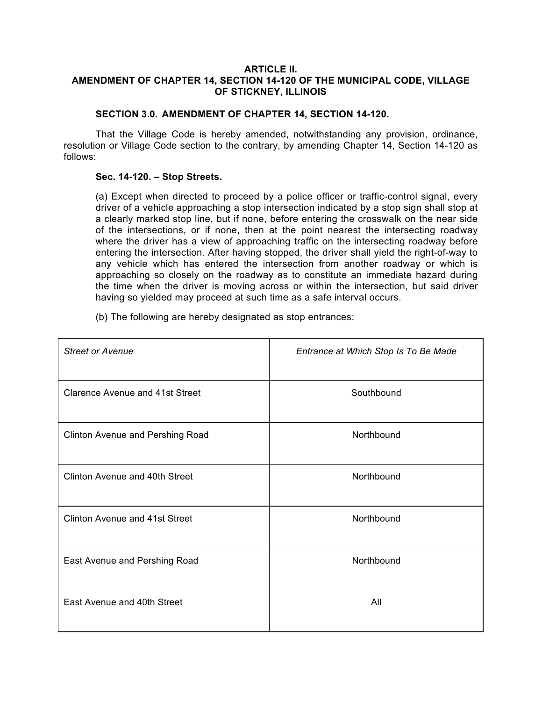### **ARTICLE II. AMENDMENT OF CHAPTER 14, SECTION 14-120 OF THE MUNICIPAL CODE, VILLAGE OF STICKNEY, ILLINOIS**

# **SECTION 3.0. AMENDMENT OF CHAPTER 14, SECTION 14-120.**

That the Village Code is hereby amended, notwithstanding any provision, ordinance, resolution or Village Code section to the contrary, by amending Chapter 14, Section 14-120 as follows:

### **Sec. 14-120. – Stop Streets.**

(a) Except when directed to proceed by a police officer or traffic-control signal, every driver of a vehicle approaching a stop intersection indicated by a stop sign shall stop at a clearly marked stop line, but if none, before entering the crosswalk on the near side of the intersections, or if none, then at the point nearest the intersecting roadway where the driver has a view of approaching traffic on the intersecting roadway before entering the intersection. After having stopped, the driver shall yield the right-of-way to any vehicle which has entered the intersection from another roadway or which is approaching so closely on the roadway as to constitute an immediate hazard during the time when the driver is moving across or within the intersection, but said driver having so yielded may proceed at such time as a safe interval occurs.

(b) The following are hereby designated as stop entrances:

| <b>Street or Avenue</b>                 | Entrance at Which Stop Is To Be Made |
|-----------------------------------------|--------------------------------------|
| <b>Clarence Avenue and 41st Street</b>  | Southbound                           |
| <b>Clinton Avenue and Pershing Road</b> | Northbound                           |
| <b>Clinton Avenue and 40th Street</b>   | Northbound                           |
| <b>Clinton Avenue and 41st Street</b>   | Northbound                           |
| East Avenue and Pershing Road           | Northbound                           |
| East Avenue and 40th Street             | All                                  |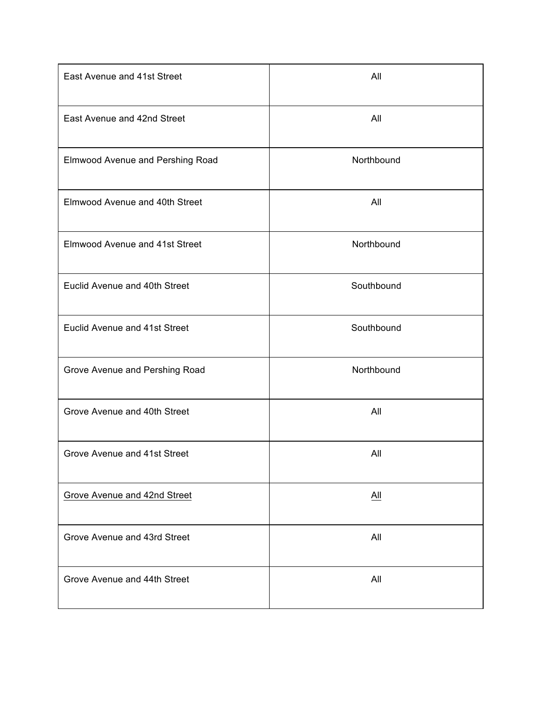| East Avenue and 41st Street           | All               |
|---------------------------------------|-------------------|
| East Avenue and 42nd Street           | All               |
| Elmwood Avenue and Pershing Road      | Northbound        |
| Elmwood Avenue and 40th Street        | All               |
| <b>Elmwood Avenue and 41st Street</b> | Northbound        |
| Euclid Avenue and 40th Street         | Southbound        |
| Euclid Avenue and 41st Street         | Southbound        |
| Grove Avenue and Pershing Road        | Northbound        |
| Grove Avenue and 40th Street          | All               |
| Grove Avenue and 41st Street          | All               |
| <b>Grove Avenue and 42nd Street</b>   | $\underline{All}$ |
| Grove Avenue and 43rd Street          | All               |
| Grove Avenue and 44th Street          | All               |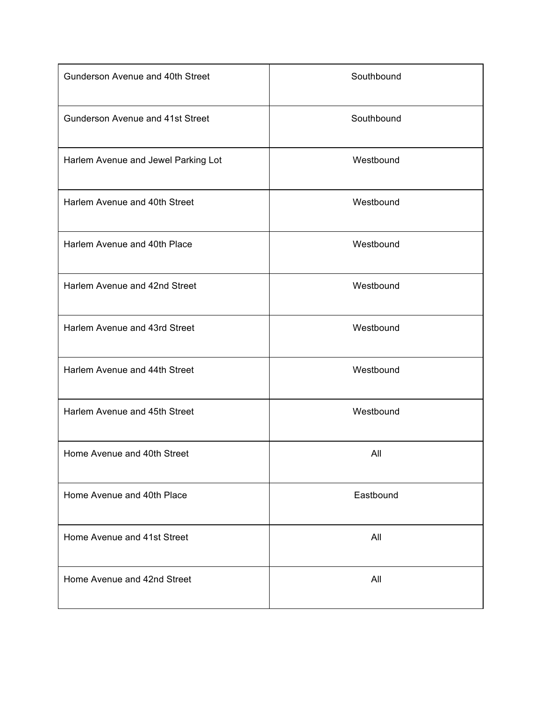| Gunderson Avenue and 40th Street    | Southbound |
|-------------------------------------|------------|
| Gunderson Avenue and 41st Street    | Southbound |
| Harlem Avenue and Jewel Parking Lot | Westbound  |
| Harlem Avenue and 40th Street       | Westbound  |
| Harlem Avenue and 40th Place        | Westbound  |
| Harlem Avenue and 42nd Street       | Westbound  |
| Harlem Avenue and 43rd Street       | Westbound  |
| Harlem Avenue and 44th Street       | Westbound  |
| Harlem Avenue and 45th Street       | Westbound  |
| Home Avenue and 40th Street         | All        |
| Home Avenue and 40th Place          | Eastbound  |
| Home Avenue and 41st Street         | All        |
| Home Avenue and 42nd Street         | All        |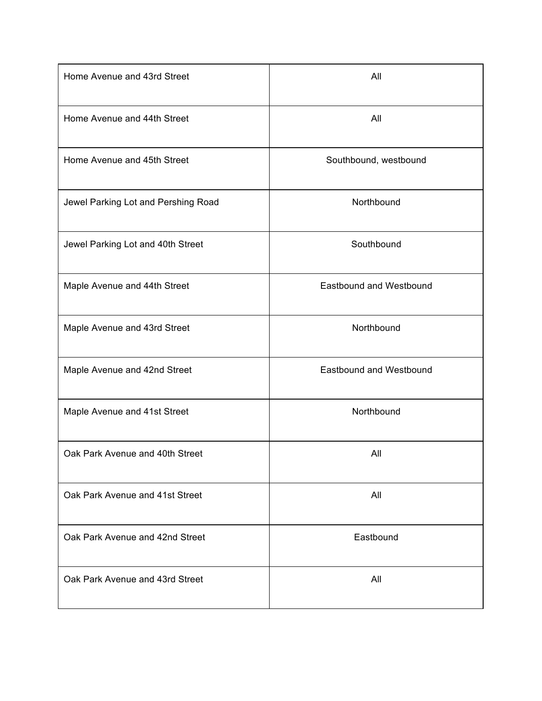| Home Avenue and 43rd Street         | All                            |
|-------------------------------------|--------------------------------|
| Home Avenue and 44th Street         | All                            |
| Home Avenue and 45th Street         | Southbound, westbound          |
| Jewel Parking Lot and Pershing Road | Northbound                     |
| Jewel Parking Lot and 40th Street   | Southbound                     |
| Maple Avenue and 44th Street        | <b>Eastbound and Westbound</b> |
| Maple Avenue and 43rd Street        | Northbound                     |
| Maple Avenue and 42nd Street        | Eastbound and Westbound        |
| Maple Avenue and 41st Street        | Northbound                     |
| Oak Park Avenue and 40th Street     | All                            |
| Oak Park Avenue and 41st Street     | All                            |
| Oak Park Avenue and 42nd Street     | Eastbound                      |
| Oak Park Avenue and 43rd Street     | All                            |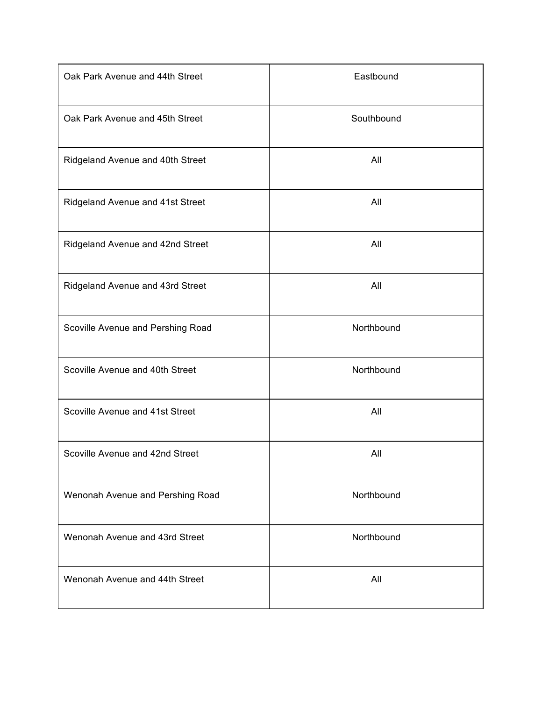| Oak Park Avenue and 44th Street   | Eastbound  |
|-----------------------------------|------------|
| Oak Park Avenue and 45th Street   | Southbound |
| Ridgeland Avenue and 40th Street  | All        |
| Ridgeland Avenue and 41st Street  | All        |
| Ridgeland Avenue and 42nd Street  | All        |
| Ridgeland Avenue and 43rd Street  | All        |
| Scoville Avenue and Pershing Road | Northbound |
| Scoville Avenue and 40th Street   | Northbound |
| Scoville Avenue and 41st Street   | All        |
| Scoville Avenue and 42nd Street   | All        |
| Wenonah Avenue and Pershing Road  | Northbound |
| Wenonah Avenue and 43rd Street    | Northbound |
| Wenonah Avenue and 44th Street    | All        |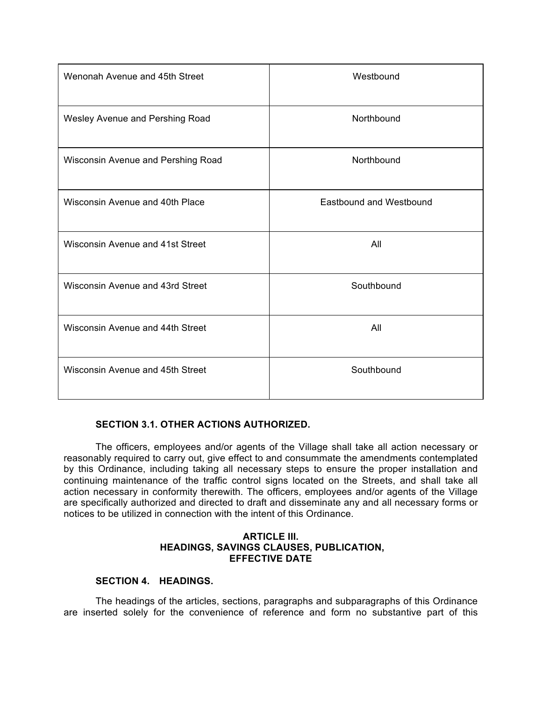| Wenonah Avenue and 45th Street     | Westbound                      |
|------------------------------------|--------------------------------|
| Wesley Avenue and Pershing Road    | Northbound                     |
| Wisconsin Avenue and Pershing Road | Northbound                     |
| Wisconsin Avenue and 40th Place    | <b>Eastbound and Westbound</b> |
| Wisconsin Avenue and 41st Street   | All                            |
| Wisconsin Avenue and 43rd Street   | Southbound                     |
| Wisconsin Avenue and 44th Street   | All                            |
| Wisconsin Avenue and 45th Street   | Southbound                     |

# **SECTION 3.1. OTHER ACTIONS AUTHORIZED.**

The officers, employees and/or agents of the Village shall take all action necessary or reasonably required to carry out, give effect to and consummate the amendments contemplated by this Ordinance, including taking all necessary steps to ensure the proper installation and continuing maintenance of the traffic control signs located on the Streets, and shall take all action necessary in conformity therewith. The officers, employees and/or agents of the Village are specifically authorized and directed to draft and disseminate any and all necessary forms or notices to be utilized in connection with the intent of this Ordinance.

# **ARTICLE III. HEADINGS, SAVINGS CLAUSES, PUBLICATION, EFFECTIVE DATE**

# **SECTION 4. HEADINGS.**

The headings of the articles, sections, paragraphs and subparagraphs of this Ordinance are inserted solely for the convenience of reference and form no substantive part of this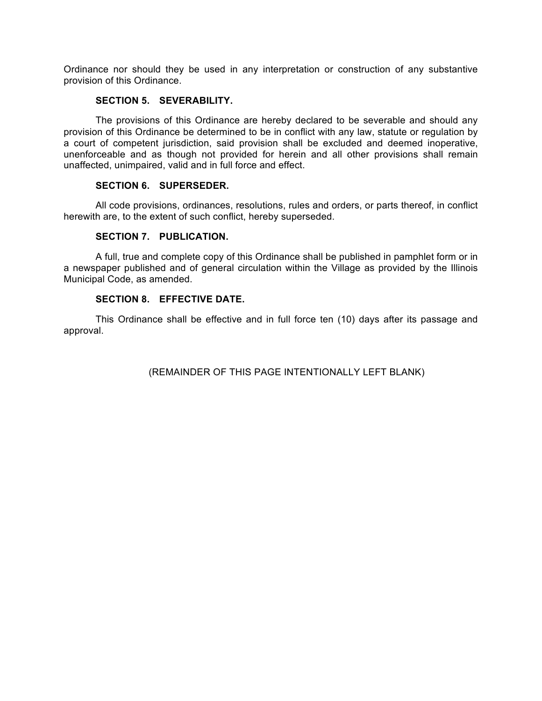Ordinance nor should they be used in any interpretation or construction of any substantive provision of this Ordinance.

# **SECTION 5. SEVERABILITY.**

The provisions of this Ordinance are hereby declared to be severable and should any provision of this Ordinance be determined to be in conflict with any law, statute or regulation by a court of competent jurisdiction, said provision shall be excluded and deemed inoperative, unenforceable and as though not provided for herein and all other provisions shall remain unaffected, unimpaired, valid and in full force and effect.

# **SECTION 6. SUPERSEDER.**

All code provisions, ordinances, resolutions, rules and orders, or parts thereof, in conflict herewith are, to the extent of such conflict, hereby superseded.

### **SECTION 7. PUBLICATION.**

A full, true and complete copy of this Ordinance shall be published in pamphlet form or in a newspaper published and of general circulation within the Village as provided by the Illinois Municipal Code, as amended.

# **SECTION 8. EFFECTIVE DATE.**

This Ordinance shall be effective and in full force ten (10) days after its passage and approval.

(REMAINDER OF THIS PAGE INTENTIONALLY LEFT BLANK)